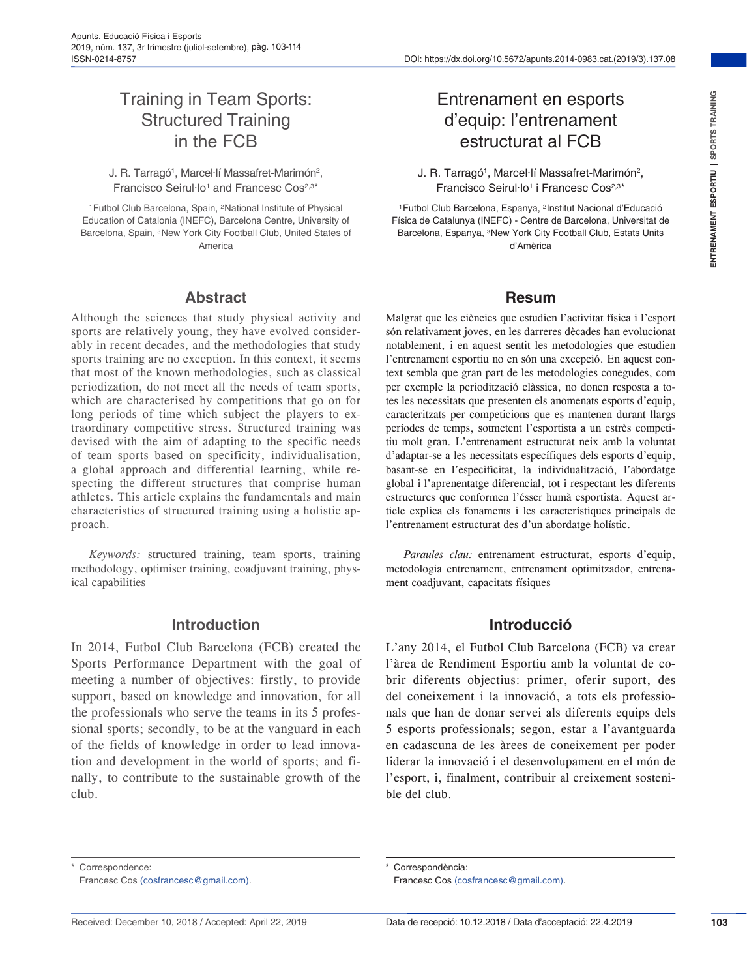## Training in Team Sports: Structured Training in the FCB

J. R. Tarragó<sup>1</sup>, Marcel·lí Massafret-Marimón<sup>2</sup>, Francisco Seirul·lo<sup>1</sup> and Francesc Cos<sup>2,3\*</sup>

1Futbol Club Barcelona, Spain, 2National Institute of Physical Education of Catalonia (INEFC), Barcelona Centre, University of Barcelona, Spain, 3New York City Football Club, United States of America

#### **Abstract**

Although the sciences that study physical activity and sports are relatively young, they have evolved considerably in recent decades, and the methodologies that study sports training are no exception. In this context, it seems that most of the known methodologies, such as classical periodization, do not meet all the needs of team sports, which are characterised by competitions that go on for long periods of time which subject the players to extraordinary competitive stress. Structured training was devised with the aim of adapting to the specific needs of team sports based on specificity, individualisation, a global approach and differential learning, while respecting the different structures that comprise human athletes. This article explains the fundamentals and main characteristics of structured training using a holistic approach.

*Keywords:* structured training, team sports, training methodology, optimiser training, coadjuvant training, physical capabilities

#### **Introduction**

In 2014, Futbol Club Barcelona (FCB) created the Sports Performance Department with the goal of meeting a number of objectives: firstly, to provide support, based on knowledge and innovation, for all the professionals who serve the teams in its 5 professional sports; secondly, to be at the vanguard in each of the fields of knowledge in order to lead innovation and development in the world of sports; and finally, to contribute to the sustainable growth of the club.

# Entrenament en esports d'equip: l'entrenament estructurat al FCB

J. R. Tarragó1, Marcel·lí Massafret-Marimón2, Francisco Seirul·lo<sup>1</sup> i Francesc Cos<sup>2,3\*</sup>

1Futbol Club Barcelona, Espanya, 2Institut Nacional d'Educació Física de Catalunya (INEFC) - Centre de Barcelona, Universitat de Barcelona, Espanya, 3New York City Football Club, Estats Units d'Amèrica

#### **Resum**

Malgrat que les ciències que estudien l'activitat física i l'esport són relativament joves, en les darreres dècades han evolucionat notablement, i en aquest sentit les metodologies que estudien l'entrenament esportiu no en són una excepció. En aquest context sembla que gran part de les metodologies conegudes, com per exemple la periodització clàssica, no donen resposta a totes les necessitats que presenten els anomenats esports d'equip, caracteritzats per competicions que es mantenen durant llargs períodes de temps, sotmetent l'esportista a un estrès competitiu molt gran. L'entrenament estructurat neix amb la voluntat d'adaptar-se a les necessitats específiques dels esports d'equip, basant-se en l'especificitat, la individualització, l'abordatge global i l'aprenentatge diferencial, tot i respectant les diferents estructures que conformen l'ésser humà esportista. Aquest article explica els fonaments i les característiques principals de l'entrenament estructurat des d'un abordatge holístic.

*Paraules clau:* entrenament estructurat, esports d'equip, metodologia entrenament, entrenament optimitzador, entrenament coadjuvant, capacitats físiques

#### **Introducció**

L'any 2014, el Futbol Club Barcelona (FCB) va crear l'àrea de Rendiment Esportiu amb la voluntat de cobrir diferents objectius: primer, oferir suport, des del coneixement i la innovació, a tots els professionals que han de donar servei als diferents equips dels 5 esports professionals; segon, estar a l'avantguarda en cadascuna de les àrees de coneixement per poder liderar la innovació i el desenvolupament en el món de l'esport, i, finalment, contribuir al creixement sostenible del club.

Correspondence:

Francesc Cos [\(cosfrancesc@gmail.com](mailto:cosfrancesc@gmail.com)).

Correspondència:

Francesc Cos ([cosfrancesc@gmail.com\)](mailto:cosfrancesc@gmail.com).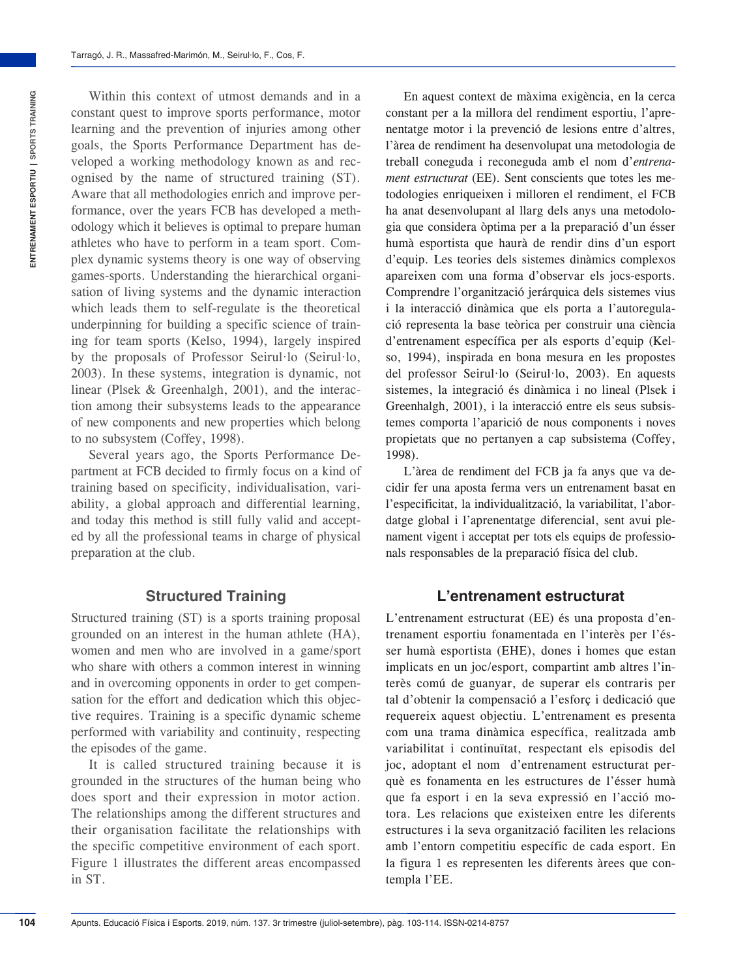Within this context of utmost demands and in a constant quest to improve sports performance, motor learning and the prevention of injuries among other goals, the Sports Performance Department has developed a working methodology known as and recognised by the name of structured training (ST). Aware that all methodologies enrich and improve performance, over the years FCB has developed a methodology which it believes is optimal to prepare human athletes who have to perform in a team sport. Complex dynamic systems theory is one way of observing games-sports. Understanding the hierarchical organisation of living systems and the dynamic interaction which leads them to self-regulate is the theoretical underpinning for building a specific science of training for team sports (Kelso, 1994), largely inspired by the proposals of Professor Seirul·lo (Seirul·lo, 2003). In these systems, integration is dynamic, not linear (Plsek & Greenhalgh, 2001), and the interaction among their subsystems leads to the appearance of new components and new properties which belong to no subsystem (Coffey, 1998).

Several years ago, the Sports Performance Department at FCB decided to firmly focus on a kind of training based on specificity, individualisation, variability, a global approach and differential learning, and today this method is still fully valid and accepted by all the professional teams in charge of physical preparation at the club.

## **Structured Training**

Structured training (ST) is a sports training proposal grounded on an interest in the human athlete (HA), women and men who are involved in a game/sport who share with others a common interest in winning and in overcoming opponents in order to get compensation for the effort and dedication which this objective requires. Training is a specific dynamic scheme performed with variability and continuity, respecting the episodes of the game.

It is called structured training because it is grounded in the structures of the human being who does sport and their expression in motor action. The relationships among the different structures and their organisation facilitate the relationships with the specific competitive environment of each sport. Figure 1 illustrates the different areas encompassed in ST.

En aquest context de màxima exigència, en la cerca constant per a la millora del rendiment esportiu, l'aprenentatge motor i la prevenció de lesions entre d'altres, l'àrea de rendiment ha desenvolupat una metodologia de treball coneguda i reconeguda amb el nom d'*entrenament estructurat* (EE). Sent conscients que totes les metodologies enriqueixen i milloren el rendiment, el FCB ha anat desenvolupant al llarg dels anys una metodologia que considera òptima per a la preparació d'un ésser humà esportista que haurà de rendir dins d'un esport d'equip. Les teories dels sistemes dinàmics complexos apareixen com una forma d'observar els jocs-esports. Comprendre l'organització jerárquica dels sistemes vius i la interacció dinàmica que els porta a l'autoregulació representa la base teòrica per construir una ciència d'entrenament específica per als esports d'equip (Kelso, 1994), inspirada en bona mesura en les propostes del professor Seirul·lo (Seirul·lo, 2003). En aquests sistemes, la integració és dinàmica i no lineal (Plsek i Greenhalgh, 2001), i la interacció entre els seus subsistemes comporta l'aparició de nous components i noves propietats que no pertanyen a cap subsistema (Coffey, 1998).

L'àrea de rendiment del FCB ja fa anys que va decidir fer una aposta ferma vers un entrenament basat en l'especificitat, la individualització, la variabilitat, l'abordatge global i l'aprenentatge diferencial, sent avui plenament vigent i acceptat per tots els equips de professionals responsables de la preparació física del club.

#### **L'entrenament estructurat**

L'entrenament estructurat (EE) és una proposta d'entrenament esportiu fonamentada en l'interès per l'ésser humà esportista (EHE), dones i homes que estan implicats en un joc/esport, compartint amb altres l'interès comú de guanyar, de superar els contraris per tal d'obtenir la compensació a l'esforç i dedicació que requereix aquest objectiu. L'entrenament es presenta com una trama dinàmica específica, realitzada amb variabilitat i continuïtat, respectant els episodis del joc, adoptant el nom d'entrenament estructurat perquè es fonamenta en les estructures de l'ésser humà que fa esport i en la seva expressió en l'acció motora. Les relacions que existeixen entre les diferents estructures i la seva organització faciliten les relacions amb l'entorn competitiu específic de cada esport. En la figura 1 es representen les diferents àrees que contempla l'EE.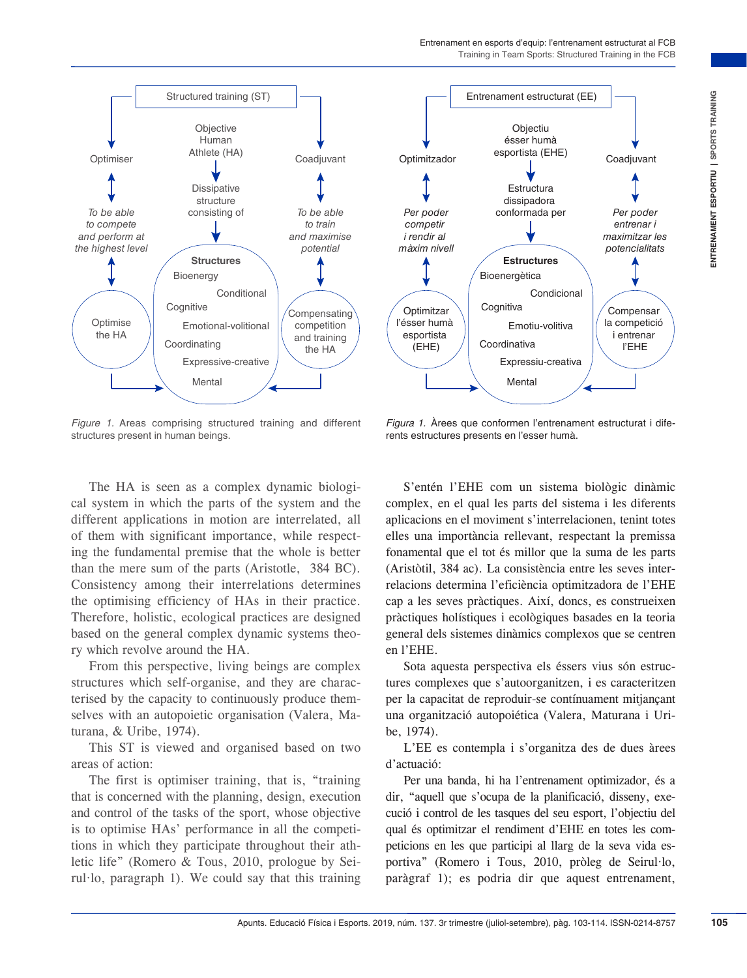



*Figure 1.* Areas comprising structured training and different structures present in human beings.

*Figura 1.* Àrees que conformen l'entrenament estructurat i diferents estructures presents en l'esser humà.

The HA is seen as a complex dynamic biological system in which the parts of the system and the different applications in motion are interrelated, all of them with significant importance, while respecting the fundamental premise that the whole is better than the mere sum of the parts (Aristotle, 384 BC). Consistency among their interrelations determines the optimising efficiency of HAs in their practice. Therefore, holistic, ecological practices are designed based on the general complex dynamic systems theory which revolve around the HA.

From this perspective, living beings are complex structures which self-organise, and they are characterised by the capacity to continuously produce themselves with an autopoietic organisation (Valera, Maturana, & Uribe, 1974).

This ST is viewed and organised based on two areas of action:

The first is optimiser training, that is, "training that is concerned with the planning, design, execution and control of the tasks of the sport, whose objective is to optimise HAs' performance in all the competitions in which they participate throughout their athletic life" (Romero & Tous, 2010, prologue by Seirul·lo, paragraph 1). We could say that this training

S'entén l'EHE com un sistema biològic dinàmic complex, en el qual les parts del sistema i les diferents aplicacions en el moviment s'interrelacionen, tenint totes elles una importància rellevant, respectant la premissa fonamental que el tot és millor que la suma de les parts (Aristòtil, 384 ac). La consistència entre les seves interrelacions determina l'eficiència optimitzadora de l'EHE cap a les seves pràctiques. Així, doncs, es construeixen pràctiques holístiques i ecològiques basades en la teoria general dels sistemes dinàmics complexos que se centren en l'EHE.

Sota aquesta perspectiva els éssers vius són estructures complexes que s'autoorganitzen, i es caracteritzen per la capacitat de reproduir-se contínuament mitjançant una organització autopoiética (Valera, Maturana i Uribe, 1974).

L'EE es contempla i s'organitza des de dues àrees d'actuació:

Per una banda, hi ha l'entrenament optimizador, és a dir, "aquell que s'ocupa de la planificació, disseny, execució i control de les tasques del seu esport, l'objectiu del qual és optimitzar el rendiment d'EHE en totes les competicions en les que participi al llarg de la seva vida esportiva" (Romero i Tous, 2010, pròleg de Seirul·lo, paràgraf 1); es podria dir que aquest entrenament,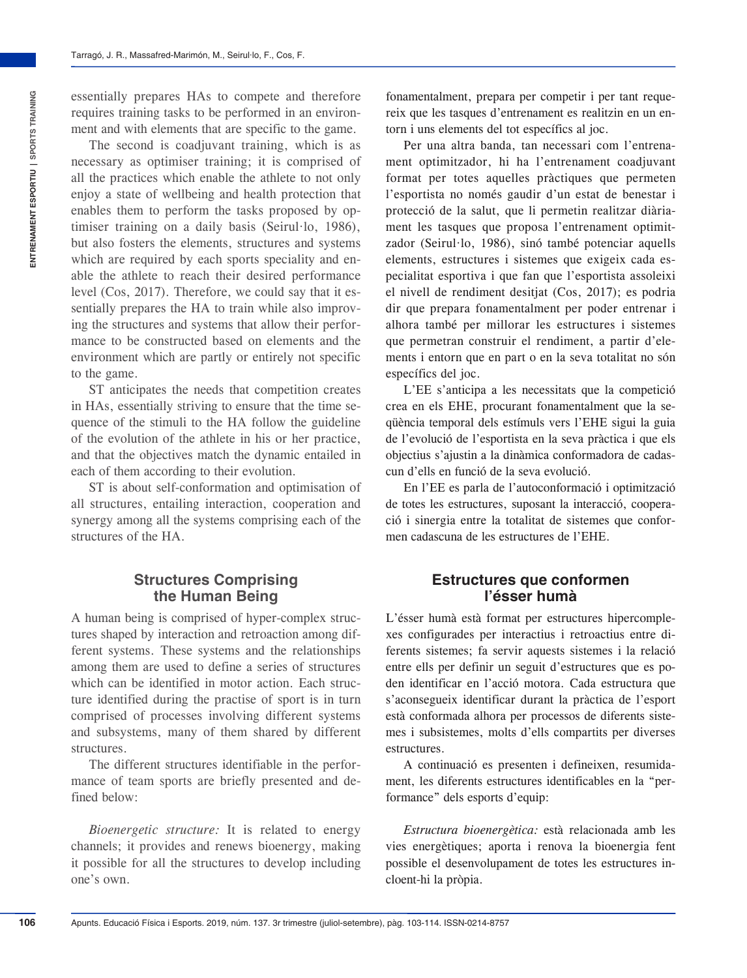essentially prepares HAs to compete and therefore requires training tasks to be performed in an environment and with elements that are specific to the game.

The second is coadjuvant training, which is as necessary as optimiser training; it is comprised of all the practices which enable the athlete to not only enjoy a state of wellbeing and health protection that enables them to perform the tasks proposed by optimiser training on a daily basis (Seirul·lo, 1986), but also fosters the elements, structures and systems which are required by each sports speciality and enable the athlete to reach their desired performance level (Cos, 2017). Therefore, we could say that it essentially prepares the HA to train while also improving the structures and systems that allow their performance to be constructed based on elements and the environment which are partly or entirely not specific to the game.

ST anticipates the needs that competition creates in HAs, essentially striving to ensure that the time sequence of the stimuli to the HA follow the guideline of the evolution of the athlete in his or her practice, and that the objectives match the dynamic entailed in each of them according to their evolution.

ST is about self-conformation and optimisation of all structures, entailing interaction, cooperation and synergy among all the systems comprising each of the structures of the HA.

#### **Structures Comprising the Human Being**

A human being is comprised of hyper-complex structures shaped by interaction and retroaction among different systems. These systems and the relationships among them are used to define a series of structures which can be identified in motor action. Each structure identified during the practise of sport is in turn comprised of processes involving different systems and subsystems, many of them shared by different structures.

The different structures identifiable in the performance of team sports are briefly presented and defined below:

*Bioenergetic structure:* It is related to energy channels; it provides and renews bioenergy, making it possible for all the structures to develop including one's own.

fonamentalment, prepara per competir i per tant requereix que les tasques d'entrenament es realitzin en un entorn i uns elements del tot específics al joc.

Per una altra banda, tan necessari com l'entrenament optimitzador, hi ha l'entrenament coadjuvant format per totes aquelles pràctiques que permeten l'esportista no només gaudir d'un estat de benestar i protecció de la salut, que li permetin realitzar diàriament les tasques que proposa l'entrenament optimitzador (Seirul·lo, 1986), sinó també potenciar aquells elements, estructures i sistemes que exigeix cada especialitat esportiva i que fan que l'esportista assoleixi el nivell de rendiment desitjat (Cos, 2017); es podria dir que prepara fonamentalment per poder entrenar i alhora també per millorar les estructures i sistemes que permetran construir el rendiment, a partir d'elements i entorn que en part o en la seva totalitat no són específics del joc.

L'EE s'anticipa a les necessitats que la competició crea en els EHE, procurant fonamentalment que la seqüència temporal dels estímuls vers l'EHE sigui la guia de l'evolució de l'esportista en la seva pràctica i que els objectius s'ajustin a la dinàmica conformadora de cadascun d'ells en funció de la seva evolució.

En l'EE es parla de l'autoconformació i optimització de totes les estructures, suposant la interacció, cooperació i sinergia entre la totalitat de sistemes que conformen cadascuna de les estructures de l'EHE.

#### **Estructures que conformen l'ésser humà**

L'ésser humà està format per estructures hipercomplexes configurades per interactius i retroactius entre diferents sistemes; fa servir aquests sistemes i la relació entre ells per definir un seguit d'estructures que es poden identificar en l'acció motora. Cada estructura que s'aconsegueix identificar durant la pràctica de l'esport està conformada alhora per processos de diferents sistemes i subsistemes, molts d'ells compartits per diverses estructures.

A continuació es presenten i defineixen, resumidament, les diferents estructures identificables en la "performance" dels esports d'equip:

*Estructura bioenergètica:* està relacionada amb les vies energètiques; aporta i renova la bioenergia fent possible el desenvolupament de totes les estructures incloent-hi la pròpia.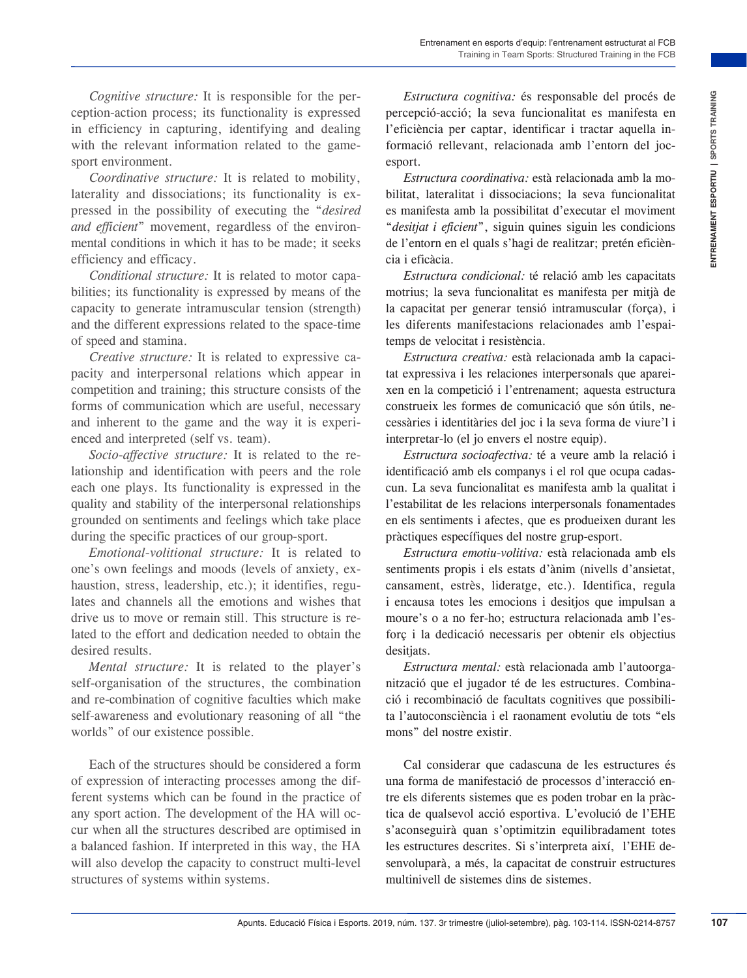*Cognitive structure:* It is responsible for the perception-action process; its functionality is expressed in efficiency in capturing, identifying and dealing with the relevant information related to the gamesport environment.

*Coordinative structure:* It is related to mobility, laterality and dissociations; its functionality is expressed in the possibility of executing the "*desired and efficient*" movement, regardless of the environmental conditions in which it has to be made; it seeks efficiency and efficacy.

*Conditional structure:* It is related to motor capabilities; its functionality is expressed by means of the capacity to generate intramuscular tension (strength) and the different expressions related to the space-time of speed and stamina.

*Creative structure:* It is related to expressive capacity and interpersonal relations which appear in competition and training; this structure consists of the forms of communication which are useful, necessary and inherent to the game and the way it is experienced and interpreted (self vs. team).

*Socio-affective structure:* It is related to the relationship and identification with peers and the role each one plays. Its functionality is expressed in the quality and stability of the interpersonal relationships grounded on sentiments and feelings which take place during the specific practices of our group-sport.

*Emotional-volitional structure:* It is related to one's own feelings and moods (levels of anxiety, exhaustion, stress, leadership, etc.); it identifies, regulates and channels all the emotions and wishes that drive us to move or remain still. This structure is related to the effort and dedication needed to obtain the desired results.

*Mental structure:* It is related to the player's self-organisation of the structures, the combination and re-combination of cognitive faculties which make self-awareness and evolutionary reasoning of all "the worlds" of our existence possible.

Each of the structures should be considered a form of expression of interacting processes among the different systems which can be found in the practice of any sport action. The development of the HA will occur when all the structures described are optimised in a balanced fashion. If interpreted in this way, the HA will also develop the capacity to construct multi-level structures of systems within systems.

*Estructura cognitiva:* és responsable del procés de percepció-acció; la seva funcionalitat es manifesta en l'eficiència per captar, identificar i tractar aquella informació rellevant, relacionada amb l'entorn del jocesport.

*Estructura coordinativa:* està relacionada amb la mobilitat, lateralitat i dissociacions; la seva funcionalitat es manifesta amb la possibilitat d'executar el moviment "*desitjat i eficient*", siguin quines siguin les condicions de l'entorn en el quals s'hagi de realitzar; pretén eficiència i eficàcia.

*Estructura condicional:* té relació amb les capacitats motrius; la seva funcionalitat es manifesta per mitjà de la capacitat per generar tensió intramuscular (força), i les diferents manifestacions relacionades amb l'espaitemps de velocitat i resistència.

*Estructura creativa:* està relacionada amb la capacitat expressiva i les relaciones interpersonals que apareixen en la competició i l'entrenament; aquesta estructura construeix les formes de comunicació que són útils, necessàries i identitàries del joc i la seva forma de viure'l i interpretar-lo (el jo envers el nostre equip).

*Estructura socioafectiva:* té a veure amb la relació i identificació amb els companys i el rol que ocupa cadascun. La seva funcionalitat es manifesta amb la qualitat i l'estabilitat de les relacions interpersonals fonamentades en els sentiments i afectes, que es produeixen durant les pràctiques específiques del nostre grup-esport.

*Estructura emotiu-volitiva:* està relacionada amb els sentiments propis i els estats d'ànim (nivells d'ansietat, cansament, estrès, lideratge, etc.). Identifica, regula i encausa totes les emocions i desitjos que impulsan a moure's o a no fer-ho; estructura relacionada amb l'esforç i la dedicació necessaris per obtenir els objectius desitjats.

*Estructura mental:* està relacionada amb l'autoorganització que el jugador té de les estructures. Combinació i recombinació de facultats cognitives que possibilita l'autoconsciència i el raonament evolutiu de tots "els mons" del nostre existir.

exposite is the precise of the control of the phase of the state in the state in the state in the state in the state in the state in the state in the state in the state in the state in the state in the state in the state i Cal considerar que cadascuna de les estructures és una forma de manifestació de processos d'interacció entre els diferents sistemes que es poden trobar en la pràctica de qualsevol acció esportiva. L'evolució de l'EHE s'aconseguirà quan s'optimitzin equilibradament totes les estructures descrites. Si s'interpreta així, l'EHE desenvoluparà, a més, la capacitat de construir estructures multinivell de sistemes dins de sistemes.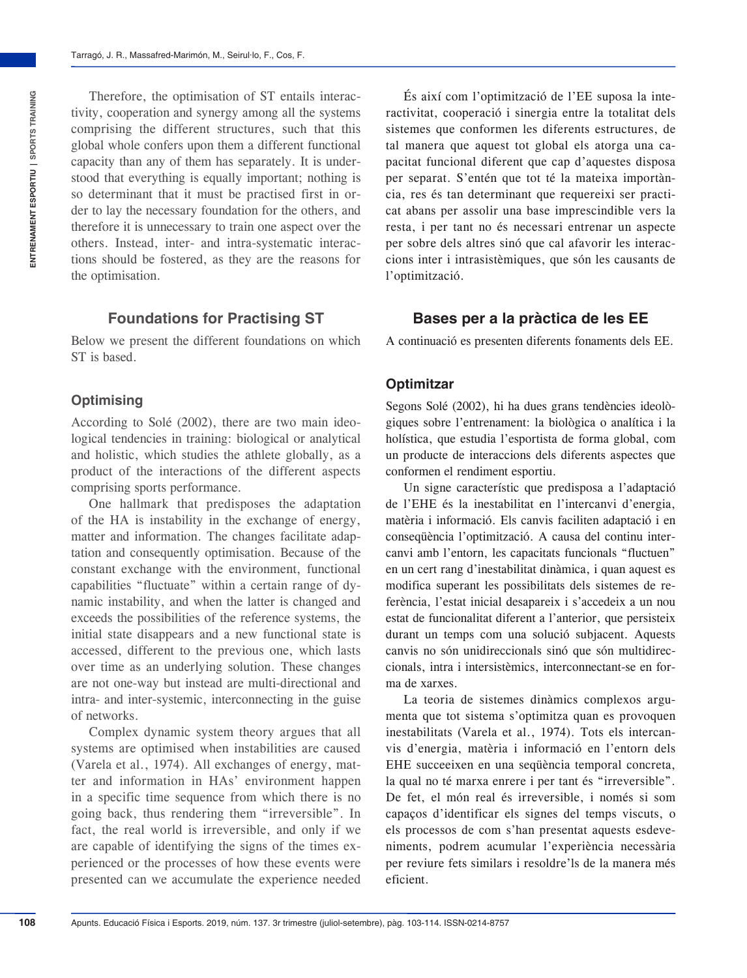Therefore, the optimisation of ST entails interactivity, cooperation and synergy among all the systems comprising the different structures, such that this global whole confers upon them a different functional capacity than any of them has separately. It is understood that everything is equally important; nothing is so determinant that it must be practised first in order to lay the necessary foundation for the others, and therefore it is unnecessary to train one aspect over the others. Instead, inter- and intra-systematic interactions should be fostered, as they are the reasons for the optimisation.

#### **Foundations for Practising ST**

Below we present the different foundations on which ST is based.

#### **Optimising**

According to Solé (2002), there are two main ideological tendencies in training: biological or analytical and holistic, which studies the athlete globally, as a product of the interactions of the different aspects comprising sports performance.

One hallmark that predisposes the adaptation of the HA is instability in the exchange of energy, matter and information. The changes facilitate adaptation and consequently optimisation. Because of the constant exchange with the environment, functional capabilities "fluctuate" within a certain range of dynamic instability, and when the latter is changed and exceeds the possibilities of the reference systems, the initial state disappears and a new functional state is accessed, different to the previous one, which lasts over time as an underlying solution. These changes are not one-way but instead are multi-directional and intra- and inter-systemic, interconnecting in the guise of networks.

Complex dynamic system theory argues that all systems are optimised when instabilities are caused (Varela et al., 1974). All exchanges of energy, matter and information in HAs' environment happen in a specific time sequence from which there is no going back, thus rendering them "irreversible". In fact, the real world is irreversible, and only if we are capable of identifying the signs of the times experienced or the processes of how these events were presented can we accumulate the experience needed

És així com l'optimització de l'EE suposa la interactivitat, cooperació i sinergia entre la totalitat dels sistemes que conformen les diferents estructures, de tal manera que aquest tot global els atorga una capacitat funcional diferent que cap d'aquestes disposa per separat. S'entén que tot té la mateixa importància, res és tan determinant que requereixi ser practicat abans per assolir una base imprescindible vers la resta, i per tant no és necessari entrenar un aspecte per sobre dels altres sinó que cal afavorir les interaccions inter i intrasistèmiques, que són les causants de l'optimització.

#### **Bases per a la pràctica de les EE**

A continuació es presenten diferents fonaments dels EE.

#### **Optimitzar**

Segons Solé (2002), hi ha dues grans tendències ideològiques sobre l'entrenament: la biològica o analítica i la holística, que estudia l'esportista de forma global, com un producte de interaccions dels diferents aspectes que conformen el rendiment esportiu.

Un signe característic que predisposa a l'adaptació de l'EHE és la inestabilitat en l'intercanvi d'energia, matèria i informació. Els canvis faciliten adaptació i en conseqüència l'optimització. A causa del continu intercanvi amb l'entorn, les capacitats funcionals "fluctuen" en un cert rang d'inestabilitat dinàmica, i quan aquest es modifica superant les possibilitats dels sistemes de referència, l'estat inicial desapareix i s'accedeix a un nou estat de funcionalitat diferent a l'anterior, que persisteix durant un temps com una solució subjacent. Aquests canvis no són unidireccionals sinó que són multidireccionals, intra i intersistèmics, interconnectant-se en forma de xarxes.

La teoria de sistemes dinàmics complexos argumenta que tot sistema s'optimitza quan es provoquen inestabilitats (Varela et al., 1974). Tots els intercanvis d'energia, matèria i informació en l'entorn dels EHE succeeixen en una seqüència temporal concreta, la qual no té marxa enrere i per tant és "irreversible". De fet, el món real és irreversible, i només si som capaços d'identificar els signes del temps viscuts, o els processos de com s'han presentat aquests esdeveniments, podrem acumular l'experiència necessària per reviure fets similars i resoldre'ls de la manera més eficient.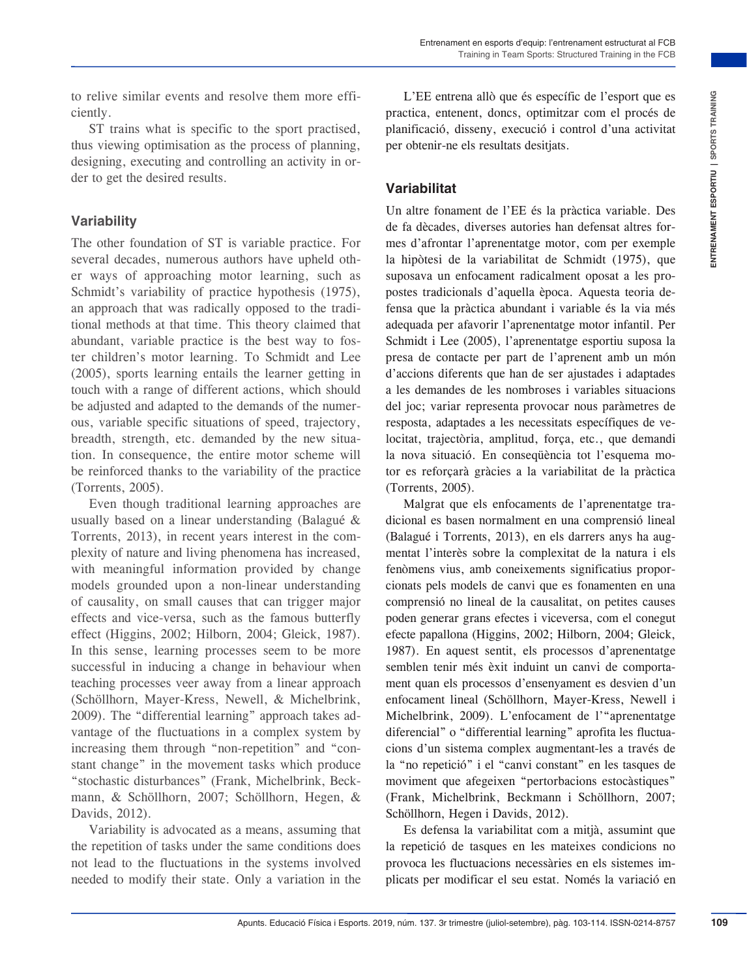to relive similar events and resolve them more efficiently.

ST trains what is specific to the sport practised, thus viewing optimisation as the process of planning, designing, executing and controlling an activity in order to get the desired results.

#### **Variability**

The other foundation of ST is variable practice. For several decades, numerous authors have upheld other ways of approaching motor learning, such as Schmidt's variability of practice hypothesis  $(1975)$ , an approach that was radically opposed to the traditional methods at that time. This theory claimed that abundant, variable practice is the best way to foster children's motor learning. To Schmidt and Lee (2005), sports learning entails the learner getting in touch with a range of different actions, which should be adjusted and adapted to the demands of the numerous, variable specific situations of speed, trajectory, breadth, strength, etc. demanded by the new situation. In consequence, the entire motor scheme will be reinforced thanks to the variability of the practice (Torrents, 2005).

Even though traditional learning approaches are usually based on a linear understanding (Balagué & Torrents, 2013), in recent years interest in the complexity of nature and living phenomena has increased, with meaningful information provided by change models grounded upon a non-linear understanding of causality, on small causes that can trigger major effects and vice-versa, such as the famous butterfly effect (Higgins, 2002; Hilborn, 2004; Gleick, 1987). In this sense, learning processes seem to be more successful in inducing a change in behaviour when teaching processes veer away from a linear approach (Schöllhorn, Mayer-Kress, Newell, & Michelbrink, 2009). The "differential learning" approach takes advantage of the fluctuations in a complex system by increasing them through "non-repetition" and "constant change" in the movement tasks which produce "stochastic disturbances" (Frank, Michelbrink, Beckmann, & Schöllhorn, 2007; Schöllhorn, Hegen, & Davids, 2012).

Variability is advocated as a means, assuming that the repetition of tasks under the same conditions does not lead to the fluctuations in the systems involved needed to modify their state. Only a variation in the

L'EE entrena allò que és específic de l'esport que es practica, entenent, doncs, optimitzar com el procés de planificació, disseny, execució i control d'una activitat per [obtenir-ne](http://www.diccionaris.cat/detalle.php?palabra=obtenir-ne&dicc_77=on) [els](http://www.diccionaris.cat/detalle.php?palabra=els&dicc_77=on) [resultats](http://www.diccionaris.cat/detalle.php?palabra=resultats&dicc_77=on) desitjats.

#### **Variabilitat**

Un altre fonament de l'EE és la pràctica variable. Des de fa dècades, diverses autories han defensat altres formes d'afrontar l'aprenentatge motor, com per exemple la hipòtesi de la variabilitat de Schmidt (1975), que suposava un enfocament radicalment oposat a les propostes tradicionals d'aquella època. Aquesta teoria defensa que la pràctica abundant i variable és la via més adequada per afavorir l'aprenentatge motor infantil. Per Schmidt i Lee (2005), l'aprenentatge esportiu suposa la presa de contacte per part de l'aprenent amb un món d'accions diferents que han de ser ajustades i adaptades a les demandes de les nombroses i variables situacions del joc; variar representa provocar nous paràmetres de resposta, adaptades a les necessitats específiques de velocitat, trajectòria, amplitud, força, etc., que demandi la nova situació. En conseqüència tot l'esquema motor es reforçarà gràcies a la variabilitat de la pràctica (Torrents, 2005).

Figure of the more effit.<br>
The forecast allope of exports conclude the phonon and the phonon and the properties of the material particular, the control of the sports of the strime of the properties of the properties of the Malgrat que els enfocaments de l'aprenentatge tradicional es basen normalment en una comprensió lineal (Balagué i Torrents, 2013), en els darrers anys ha augmentat l'interès sobre la complexitat de la natura i els fenòmens vius, amb coneixements significatius proporcionats pels models de canvi que es fonamenten en una comprensió no lineal de la causalitat, on petites causes poden generar grans efectes i viceversa, com el conegut efecte papallona (Higgins, 2002; Hilborn, 2004; Gleick, 1987). En aquest sentit, els processos d'aprenentatge semblen tenir més èxit induint un canvi de comportament quan els processos d'ensenyament es desvien d'un enfocament lineal (Schöllhorn, Mayer-Kress, Newell i Michelbrink, 2009). L'enfocament de l'"aprenentatge diferencial" o "differential learning" aprofita les fluctuacions d'un sistema complex augmentant-les a través de la "no repetició" i el "canvi constant" en les tasques de moviment que afegeixen "pertorbacions estocàstiques" (Frank, Michelbrink, Beckmann i Schöllhorn, 2007; Schöllhorn, Hegen i Davids, 2012).

Es defensa la variabilitat com a mitjà, assumint que la repetició de tasques en les mateixes condicions no provoca les fluctuacions necessàries en els sistemes implicats per modificar el seu estat. Només la variació en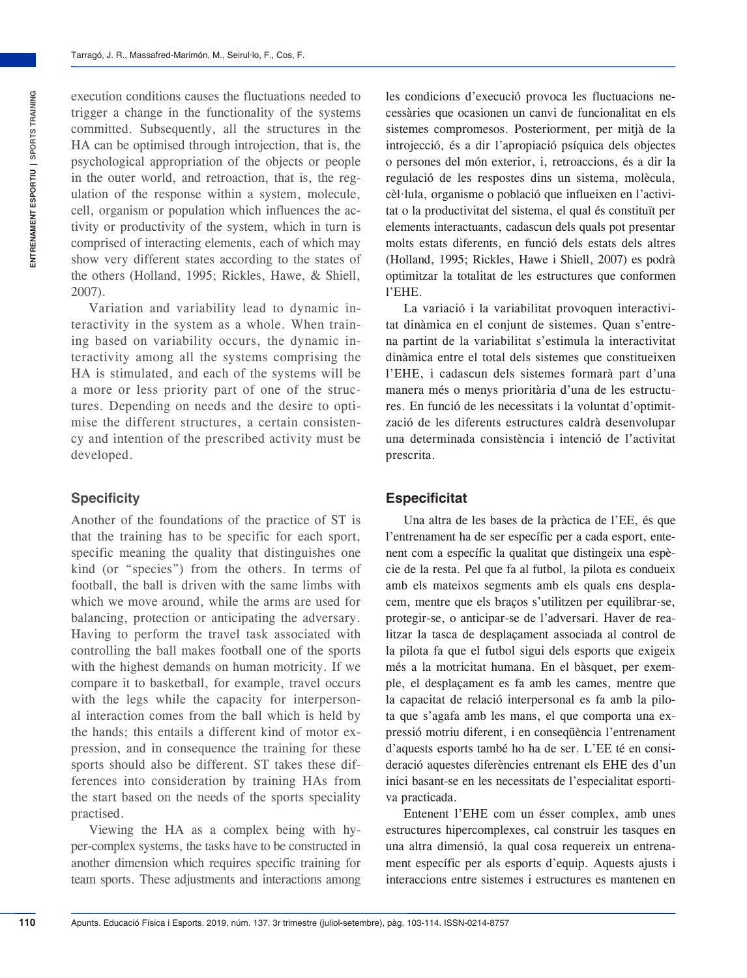execution conditions causes the fluctuations needed to trigger a change in the functionality of the systems committed. Subsequently, all the structures in the HA can be optimised through introjection, that is, the psychological appropriation of the objects or people in the outer world, and retroaction, that is, the regulation of the response within a system, molecule, cell, organism or population which influences the activity or productivity of the system, which in turn is comprised of interacting elements, each of which may show very different states according to the states of the others (Holland, 1995; Rickles, Hawe, & Shiell, 2007).

Variation and variability lead to dynamic interactivity in the system as a whole. When training based on variability occurs, the dynamic interactivity among all the systems comprising the HA is stimulated, and each of the systems will be a more or less priority part of one of the structures. Depending on needs and the desire to optimise the different structures, a certain consistency and intention of the prescribed activity must be developed.

#### **Specificity**

Another of the foundations of the practice of ST is that the training has to be specific for each sport, specific meaning the quality that distinguishes one kind (or "species") from the others. In terms of football, the ball is driven with the same limbs with which we move around, while the arms are used for balancing, protection or anticipating the adversary. Having to perform the travel task associated with controlling the ball makes football one of the sports with the highest demands on human motricity. If we compare it to basketball, for example, travel occurs with the legs while the capacity for interpersonal interaction comes from the ball which is held by the hands; this entails a different kind of motor expression, and in consequence the training for these sports should also be different. ST takes these differences into consideration by training HAs from the start based on the needs of the sports speciality practised.

Viewing the HA as a complex being with hyper-complex systems, the tasks have to be constructed in another dimension which requires specific training for team sports. These adjustments and interactions among

les condicions d'execució provoca les fluctuacions necessàries que ocasionen un canvi de funcionalitat en els sistemes compromesos. Posteriorment, per mitjà de la introjecció, és a dir l'apropiació psíquica dels objectes o persones del món exterior, i, retroaccions, és a dir la regulació de les respostes dins un sistema, molècula, cèl·lula, organisme o població que influeixen en l'activitat o la productivitat del sistema, el qual és constituït per elements interactuants, cadascun dels quals pot presentar molts estats diferents, en funció dels estats dels altres (Holland, 1995; Rickles, Hawe i Shiell, 2007) es podrà optimitzar la totalitat de les estructures que conformen l'EHE.

La variació i la variabilitat provoquen interactivitat dinàmica en el conjunt de sistemes. Quan s'entrena partint de la variabilitat s'estimula la interactivitat dinàmica entre el total dels sistemes que constitueixen l'EHE, i cadascun dels sistemes formarà part d'una manera més o menys prioritària d'una de les estructures. En funció de les necessitats i la voluntat d'optimització de les diferents estructures caldrà desenvolupar una determinada consistència i intenció de l'activitat prescrita.

#### **Especificitat**

Una altra de les bases de la pràctica de l'EE, és que l'entrenament ha de ser específic per a cada esport, entenent com a específic la qualitat que distingeix una espècie de la resta. Pel que fa al futbol, la pilota es condueix amb els mateixos segments amb els quals ens desplacem, mentre que els braços s'utilitzen per equilibrar-se, protegir-se, o anticipar-se de l'adversari. Haver de realitzar la tasca de desplaçament associada al control de la pilota fa que el futbol sigui dels esports que exigeix més a la motricitat humana. En el bàsquet, per exemple, el desplaçament es fa amb les cames, mentre que la capacitat de relació interpersonal es fa amb la pilota que s'agafa amb les mans, el que comporta una expressió motriu diferent, i en conseqüència l'entrenament d'aquests esports també ho ha de ser. L'EE té en consideració aquestes diferències entrenant els EHE des d'un inici basant-se en les necessitats de l'especialitat esportiva practicada.

Entenent l'EHE com un ésser complex, amb unes estructures hipercomplexes, cal construir les tasques en una altra dimensió, la qual cosa requereix un entrenament específic per als esports d'equip. Aquests ajusts i interaccions entre sistemes i estructures es mantenen en

**110**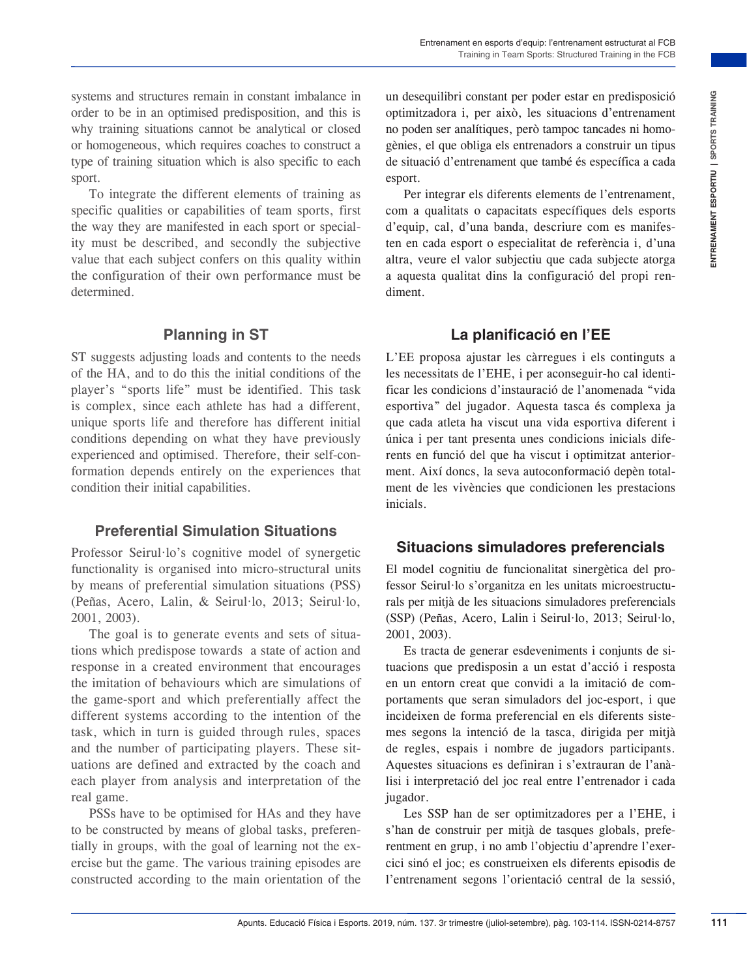systems and structures remain in constant imbalance in order to be in an optimised predisposition, and this is why training situations cannot be analytical or closed or homogeneous, which requires coaches to construct a type of training situation which is also specific to each sport.

To integrate the different elements of training as specific qualities or capabilities of team sports, first the way they are manifested in each sport or speciality must be described, and secondly the subjective value that each subject confers on this quality within the configuration of their own performance must be determined.

#### **Planning in ST**

ST suggests adjusting loads and contents to the needs of the HA, and to do this the initial conditions of the player's "sports life" must be identified. This task is complex, since each athlete has had a different, unique sports life and therefore has different initial conditions depending on what they have previously experienced and optimised. Therefore, their self-conformation depends entirely on the experiences that condition their initial capabilities.

#### **Preferential Simulation Situations**

Professor Seirul·lo's cognitive model of synergetic functionality is organised into micro-structural units by means of preferential simulation situations (PSS) (Peñas, Acero, Lalin, & Seirul·lo, 2013; Seirul·lo, 2001, 2003).

The goal is to generate events and sets of situations which predispose towards a state of action and response in a created environment that encourages the imitation of behaviours which are simulations of the game-sport and which preferentially affect the different systems according to the intention of the task, which in turn is guided through rules, spaces and the number of participating players. These situations are defined and extracted by the coach and each player from analysis and interpretation of the real game.

PSSs have to be optimised for HAs and they have to be constructed by means of global tasks, preferentially in groups, with the goal of learning not the exercise but the game. The various training episodes are constructed according to the main orientation of the

un desequilibri constant per poder estar en predisposició optimitzadora i, per això, les situacions d'entrenament no poden ser analítiques, però tampoc tancades ni homogènies, el que obliga els entrenadors a construir un tipus de situació d'entrenament que també és específica a cada esport.

Per integrar els diferents elements de l'entrenament, com a qualitats o capacitats específiques dels esports d'equip, cal, d'una banda, descriure com es manifesten en cada esport o especialitat de referència i, d'una altra, veure el valor subjectiu que cada subjecte atorga a aquesta qualitat dins la configuració del propi rendiment.

#### **La planificació en l'EE**

A constant includes: the mand-constant per period constant in period is a proportion, and this is a optiomizable in constant in period and inclusion of the mandplate in constant in domand in the sine of the standing perio L'EE proposa ajustar les càrregues i els continguts a les necessitats de l'EHE, i per aconseguir-ho cal identificar les condicions d'instauració de l'anomenada "vida esportiva" del jugador. Aquesta tasca és complexa ja que cada atleta ha viscut una vida esportiva diferent i única i per tant presenta unes condicions inicials diferents en funció del que ha viscut i optimitzat anteriorment. Així doncs, la seva autoconformació depèn totalment de les vivències que condicionen les prestacions inicials.

#### **Situacions simuladores preferencials**

El model cognitiu de funcionalitat sinergètica del professor Seirul·lo s'organitza en les unitats microestructurals per mitjà de les situacions simuladores preferencials (SSP) (Peñas, Acero, Lalin i Seirul·lo, 2013; Seirul·lo, 2001, 2003).

Es tracta de generar esdeveniments i conjunts de situacions que predisposin a un estat d'acció i resposta en un entorn creat que convidi a la imitació de comportaments que seran simuladors del joc-esport, i que incideixen de forma preferencial en els diferents sistemes segons la intenció de la tasca, dirigida per mitjà de regles, espais i nombre de jugadors participants. Aquestes situacions es definiran i s'extrauran de l'anàlisi i interpretació del joc real entre l'entrenador i cada jugador.

Les SSP han de ser optimitzadores per a l'EHE, i s'han de construir per mitjà de tasques globals, preferentment en grup, i no amb l'objectiu d'aprendre l'exercici sinó el joc; es construeixen els diferents episodis de l'entrenament segons l'orientació central de la sessió,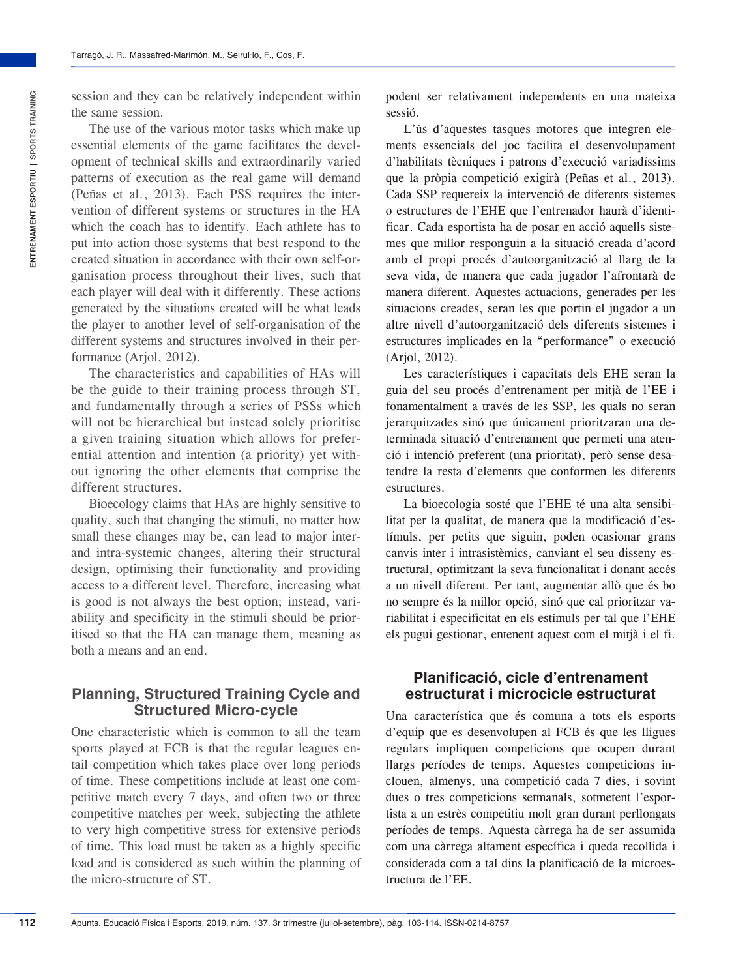The use of the various motor tasks which make up essential elements of the game facilitates the development of technical skills and extraordinarily varied patterns of execution as the real game will demand (Peñas et al., 2013). Each PSS requires the intervention of different systems or structures in the HA which the coach has to identify. Each athlete has to put into action those systems that best respond to the created situation in accordance with their own self-organisation process throughout their lives, such that each player will deal with it differently. These actions generated by the situations created will be what leads the player to another level of self-organisation of the different systems and structures involved in their performance (Ariol, 2012).

The characteristics and capabilities of HAs will be the guide to their training process through ST, and fundamentally through a series of PSSs which will not be hierarchical but instead solely prioritise a given training situation which allows for preferential attention and intention (a priority) yet without ignoring the other elements that comprise the different structures.

Bioecology claims that HAs are highly sensitive to quality, such that changing the stimuli, no matter how small these changes may be, can lead to major interand intra-systemic changes, altering their structural design, optimising their functionality and providing access to a different level. Therefore, increasing what is good is not always the best option; instead, variability and specificity in the stimuli should be prioritised so that the HA can manage them, meaning as both a means and an end.

## **Planning, Structured Training Cycle and Structured Micro-cycle**

One characteristic which is common to all the team sports played at FCB is that the regular leagues entail competition which takes place over long periods of time. These competitions include at least one competitive match every 7 days, and often two or three competitive matches per week, subjecting the athlete to very high competitive stress for extensive periods of time. This load must be taken as a highly specific load and is considered as such within the planning of the micro-structure of ST.

podent ser relativament independents en una mateixa sessió.

L'ús d'aquestes tasques motores que integren elements essencials del joc facilita el desenvolupament d'habilitats tècniques i patrons d'execució variadíssims que la pròpia competició exigirà (Peñas et al., 2013). Cada SSP requereix la intervenció de diferents sistemes o estructures de l'EHE que l'entrenador haurà d'identificar. Cada esportista ha de posar en acció aquells sistemes que millor responguin a la situació creada d'acord amb el propi procés d'autoorganització al llarg de la seva vida, de manera que cada jugador l'afrontarà de manera diferent. Aquestes actuacions, generades per les situacions creades, seran les que portin el jugador a un altre nivell d'autoorganització dels diferents sistemes i estructures implicades en la "performance" o execució (Arjol, 2012).

Les característiques i capacitats dels EHE seran la guia del seu procés d'entrenament per mitjà de l'EE i fonamentalment a través de les SSP, les quals no seran jerarquitzades sinó que únicament prioritzaran una determinada situació d'entrenament que permeti una atenció i intenció preferent (una prioritat), però sense desatendre la resta d'elements que conformen les diferents estructures.

La bioecologia sosté que l'EHE té una alta sensibilitat per la qualitat, de manera que la modificació d'estímuls, per petits que siguin, poden ocasionar grans canvis inter i intrasistèmics, canviant el seu disseny estructural, optimitzant la seva funcionalitat i donant accés a un nivell diferent. Per tant, augmentar allò que és bo no sempre és la millor opció, sinó que cal prioritzar variabilitat i especificitat en els estímuls per tal que l'EHE els pugui gestionar, entenent aquest com el mitjà i el fi.

#### **Planificació, cicle d'entrenament estructurat i microcicle estructurat**

Una característica que és comuna a tots els esports d'equip que es desenvolupen al FCB és que les lligues regulars impliquen competicions que ocupen durant llargs períodes de temps. Aquestes competicions inclouen, almenys, una competició cada 7 dies, i sovint dues o tres competicions setmanals, sotmetent l'esportista a un estrès competitiu molt gran durant perllongats períodes de temps. Aquesta càrrega ha de ser assumida com una càrrega altament específica i queda recollida i considerada com a tal dins la planificació de la microestructura de l'EE.

**ENTRENAMENT ESPORTIU | SPORTS TRAINING**

**INTRENAMENT ESPORTIU | SPORTS TRAINING**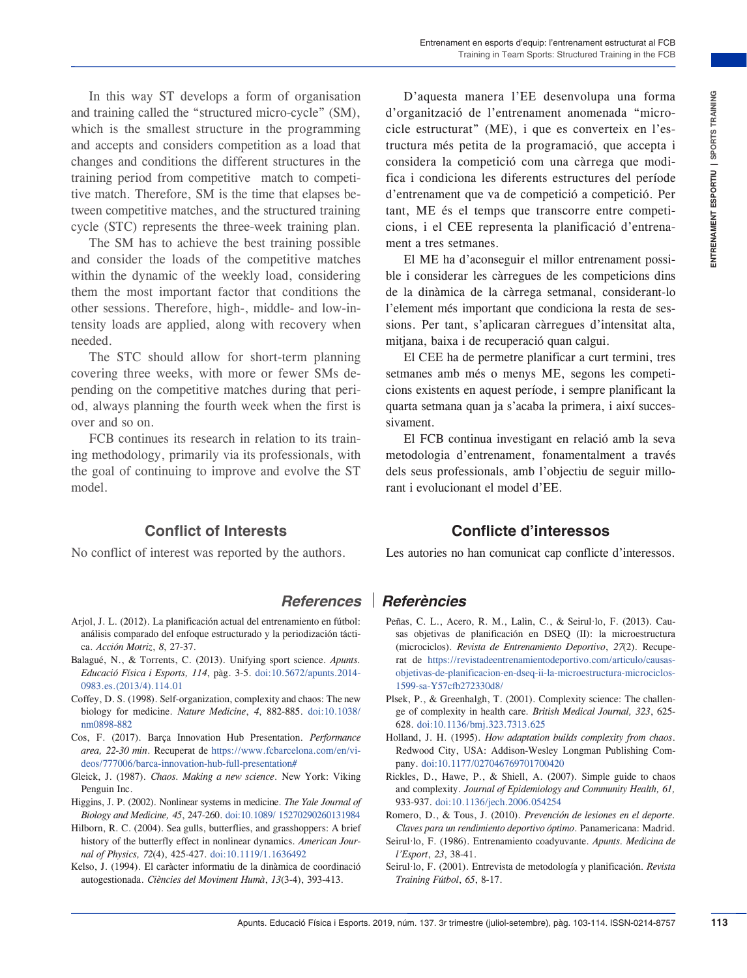In this way ST develops a form of organisation and training called the "structured micro-cycle" (SM), which is the smallest structure in the programming and accepts and considers competition as a load that changes and conditions the different structures in the training period from competitive match to competitive match. Therefore, SM is the time that elapses between competitive matches, and the structured training cycle (STC) represents the three-week training plan.

The SM has to achieve the best training possible and consider the loads of the competitive matches within the dynamic of the weekly load, considering them the most important factor that conditions the other sessions. Therefore, high-, middle- and low-intensity loads are applied, along with recovery when needed.

The STC should allow for short-term planning covering three weeks, with more or fewer SMs depending on the competitive matches during that period, always planning the fourth week when the first is over and so on.

FCB continues its research in relation to its training methodology, primarily via its professionals, with the goal of continuing to improve and evolve the ST model.

## **Conflict of Interests**

No conflict of interest was reported by the authors.

From of contraining and CCB controllar investigation in the property of the property of the property of the property of the setels of the controllar interest of the controllar interest in the controllar interest of the con D'aquesta manera l'EE desenvolupa una forma d'organització de l'entrenament anomenada "microcicle estructurat" (ME), i que es converteix en l'estructura més petita de la programació, que accepta i considera la competició com una càrrega que modifica i condiciona les diferents estructures del període d'entrenament que va de competició a competició. Per tant, ME és el temps que transcorre entre competicions, i el CEE representa la planificació d'entrenament a tres setmanes.

El ME ha d'aconseguir el millor entrenament possible i considerar les càrregues de les competicions dins de la dinàmica de la càrrega setmanal, considerant-lo l'element més important que condiciona la resta de sessions. Per tant, s'aplicaran càrregues d'intensitat alta, mitjana, baixa i de recuperació quan calgui.

El CEE ha de permetre planificar a curt termini, tres setmanes amb més o menys ME, segons les competicions existents en aquest període, i sempre planificant la quarta setmana quan ja s'acaba la primera, i així successivament.

El FCB continua investigant en relació amb la seva metodologia d'entrenament, fonamentalment a través dels seus professionals, amb l'objectiu de seguir millorant i evolucionant el model d'EE.

#### **Conflicte d'interessos**

Les autories no han comunicat cap conflicte d'interessos.

- Arjol, J. L. (2012). La planificación actual del entrenamiento en fútbol: análisis comparado del enfoque estructurado y la periodización táctica. *Acción Motriz*, *8*, 27-37.
- Balagué, N., & Torrents, C. (2013). Unifying sport science. *Apunts. Educació Física i Esports, 114*, pàg. 3-5. [doi:10.5672/apunts.2014-](https://doi.org/10.5672/apunts.2014-0983.es.(2013/4).114.01)  [0983.es.\(2013/4\).114.01](https://doi.org/10.5672/apunts.2014-0983.es.(2013/4).114.01)
- Coffey, D. S. (1998). Self-organization, complexity and chaos: The new biology for medicine. *Nature Medicine*, *4*, 882-885. [doi:10.1038/](https://doi.org/10.1038/nm0898-882) [nm0898-882](https://doi.org/10.1038/nm0898-882)
- Cos, F. (2017). Barça Innovation Hub Presentation. *Performance area, 22-30 min*. Recuperat de [https://www.fcbarcelona.com/en/vi](https://www.fcbarcelona.com/en/videos/777006/barca-innovation-hub-full-presentation#)[deos/777006/barca-innovation-hub-full-presentation#](https://www.fcbarcelona.com/en/videos/777006/barca-innovation-hub-full-presentation#)
- Gleick, J. (1987). *Chaos. Making a new science*. New York: Viking Penguin Inc.
- Higgins, J. P. (2002). Nonlinear systems in medicine. *The Yale Journal of Biology and Medicine, 45*, 247-260. [doi:10.1089/ 15270290260131984](https://doi.org/10.1089/15270290260131984)
- Hilborn, R. C. (2004). Sea gulls, butterflies, and grasshoppers: A brief history of the butterfly effect in nonlinear dynamics. *American Journal of Physics, 72*(4), 425-427. [doi:10.1119/1.1636492](https://doi.org/10.1119/1.1636492)
- Kelso, J. (1994). El caràcter informatiu de la dinàmica de coordinació autogestionada. *Ciències del Moviment Humà*, *13*(3-4), 393-413.

## *References Referències*

- Peñas, C. L., Acero, R. M., Lalin, C., & Seirul·lo, F. (2013). Causas objetivas de planificación en DSEQ (II): la microestructura (microciclos). *Revista de Entrenamiento Deportivo*, *27*(2). Recuperat de [https://revistadeentrenamientodeportivo.com/articulo/causas](https://revistadeentrenamientodeportivo.com/articulo/causas-objetivas-de-planificacion-en-dseq-ii-la-microestructura-microciclos-1599-sa-Y57cfb272330d8/)[objetivas-de-planificacion-en-dseq-ii-la-microestructura-microciclos-](https://revistadeentrenamientodeportivo.com/articulo/causas-objetivas-de-planificacion-en-dseq-ii-la-microestructura-microciclos-1599-sa-Y57cfb272330d8/)[1599-sa-Y57cfb272330d8/](https://revistadeentrenamientodeportivo.com/articulo/causas-objetivas-de-planificacion-en-dseq-ii-la-microestructura-microciclos-1599-sa-Y57cfb272330d8/)
- Plsek, P., & Greenhalgh, T. (2001). Complexity science: The challenge of complexity in health care*. British Medical Journal, 323*, 625- 628. [doi:10.1136/bmj.323.7313.625](https://doi.org/10.1136/bmj.323.7313.625)
- Holland, J. H. (1995). *How adaptation builds complexity from chaos*. Redwood City, USA: Addison-Wesley Longman Publishing Company. [doi:10.1177/027046769701700420](http://doi.org/10.1177/027046769701700420
)
- Rickles, D., Hawe, P., & Shiell, A. (2007). Simple guide to chaos and complexity. *Journal of Epidemiology and Community Health, 61,* 933-937. [doi:10.1136/jech.2006.054254](https://doi.org/10.1136/jech.2006.054254)
- Romero, D., & Tous, J. (2010). *Prevención de lesiones en el deporte. Claves para un rendimiento deportivo óptimo*. Panamericana: Madrid.
- Seirul·lo, F. (1986). Entrenamiento coadyuvante. *Apunts. Medicina de l'Esport*, *23*, 38-41.
- Seirul·lo, F. (2001). Entrevista de metodología y planificación. *Revista Training Fútbol*, *65*, 8-17.